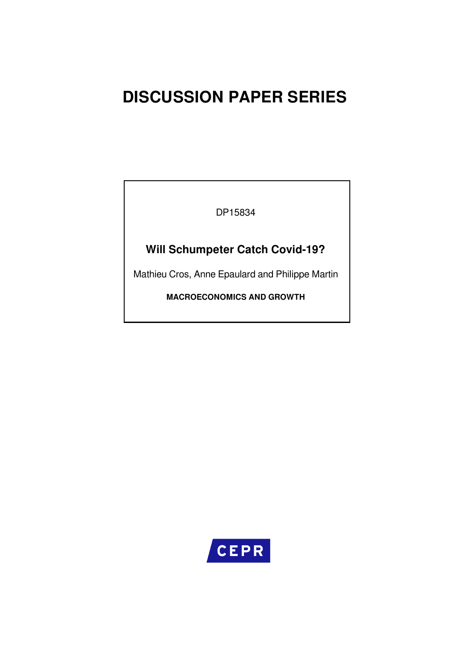# **DISCUSSION PAPER SERIES**

DP15834

# **Will Schumpeter Catch Covid-19?**

Mathieu Cros, Anne Epaulard and Philippe Martin

**MACROECONOMICS AND GROWTH**

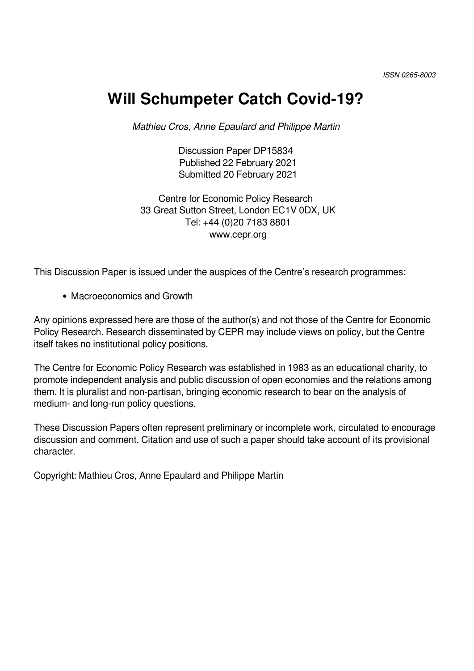# **Will Schumpeter Catch Covid-19?**

*Mathieu Cros, Anne Epaulard and Philippe Martin*

Discussion Paper DP15834 Published 22 February 2021 Submitted 20 February 2021

Centre for Economic Policy Research 33 Great Sutton Street, London EC1V 0DX, UK Tel: +44 (0)20 7183 8801 www.cepr.org

This Discussion Paper is issued under the auspices of the Centre's research programmes:

• Macroeconomics and Growth

Any opinions expressed here are those of the author(s) and not those of the Centre for Economic Policy Research. Research disseminated by CEPR may include views on policy, but the Centre itself takes no institutional policy positions.

The Centre for Economic Policy Research was established in 1983 as an educational charity, to promote independent analysis and public discussion of open economies and the relations among them. It is pluralist and non-partisan, bringing economic research to bear on the analysis of medium- and long-run policy questions.

These Discussion Papers often represent preliminary or incomplete work, circulated to encourage discussion and comment. Citation and use of such a paper should take account of its provisional character.

Copyright: Mathieu Cros, Anne Epaulard and Philippe Martin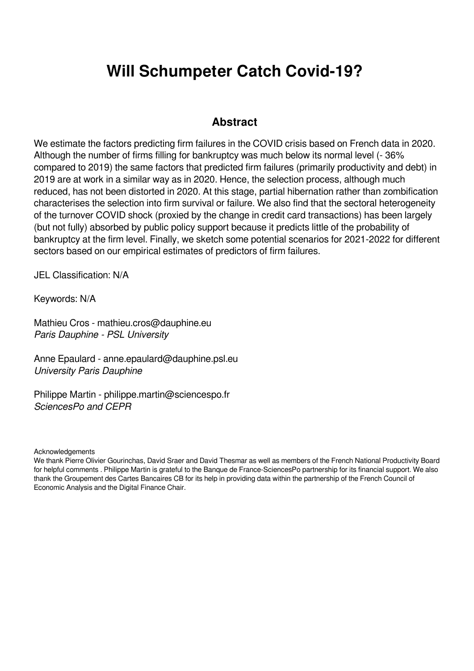# **Will Schumpeter Catch Covid-19?**

## **Abstract**

We estimate the factors predicting firm failures in the COVID crisis based on French data in 2020. Although the number of firms filling for bankruptcy was much below its normal level (- 36% compared to 2019) the same factors that predicted firm failures (primarily productivity and debt) in 2019 are at work in a similar way as in 2020. Hence, the selection process, although much reduced, has not been distorted in 2020. At this stage, partial hibernation rather than zombification characterises the selection into firm survival or failure. We also find that the sectoral heterogeneity of the turnover COVID shock (proxied by the change in credit card transactions) has been largely (but not fully) absorbed by public policy support because it predicts little of the probability of bankruptcy at the firm level. Finally, we sketch some potential scenarios for 2021-2022 for different sectors based on our empirical estimates of predictors of firm failures.

JEL Classification: N/A

Keywords: N/A

Mathieu Cros - mathieu.cros@dauphine.eu *Paris Dauphine - PSL University*

Anne Epaulard - anne.epaulard@dauphine.psl.eu *University Paris Dauphine*

Philippe Martin - philippe.martin@sciencespo.fr *SciencesPo and CEPR*

**Acknowledgements** 

We thank Pierre Olivier Gourinchas, David Sraer and David Thesmar as well as members of the French National Productivity Board for helpful comments . Philippe Martin is grateful to the Banque de France-SciencesPo partnership for its financial support. We also thank the Groupement des Cartes Bancaires CB for its help in providing data within the partnership of the French Council of Economic Analysis and the Digital Finance Chair.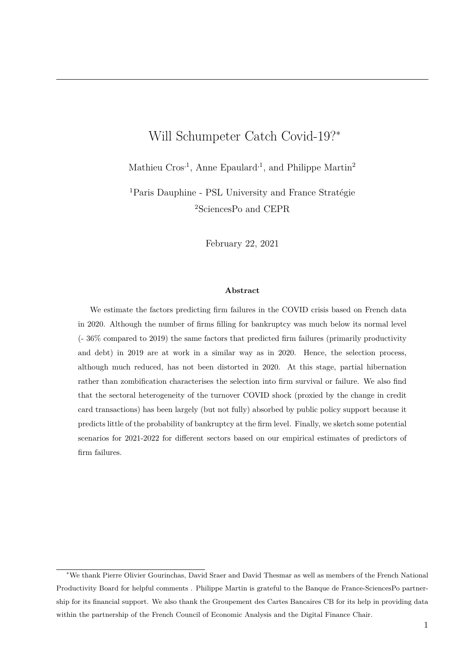# Will Schumpeter Catch Covid-19?<sup>∗</sup>

Mathieu  $Cros<sup>1</sup>$ , Anne Epaulard<sup>1</sup>, and Philippe Martin<sup>2</sup>

<sup>1</sup>Paris Dauphine - PSL University and France Stratégie <sup>2</sup>SciencesPo and CEPR

February 22, 2021

#### **Abstract**

We estimate the factors predicting firm failures in the COVID crisis based on French data in 2020. Although the number of firms filling for bankruptcy was much below its normal level (- 36% compared to 2019) the same factors that predicted firm failures (primarily productivity and debt) in 2019 are at work in a similar way as in 2020. Hence, the selection process, although much reduced, has not been distorted in 2020. At this stage, partial hibernation rather than zombification characterises the selection into firm survival or failure. We also find that the sectoral heterogeneity of the turnover COVID shock (proxied by the change in credit card transactions) has been largely (but not fully) absorbed by public policy support because it predicts little of the probability of bankruptcy at the firm level. Finally, we sketch some potential scenarios for 2021-2022 for different sectors based on our empirical estimates of predictors of firm failures.

<sup>∗</sup>We thank Pierre Olivier Gourinchas, David Sraer and David Thesmar as well as members of the French National Productivity Board for helpful comments . Philippe Martin is grateful to the Banque de France-SciencesPo partnership for its financial support. We also thank the Groupement des Cartes Bancaires CB for its help in providing data within the partnership of the French Council of Economic Analysis and the Digital Finance Chair.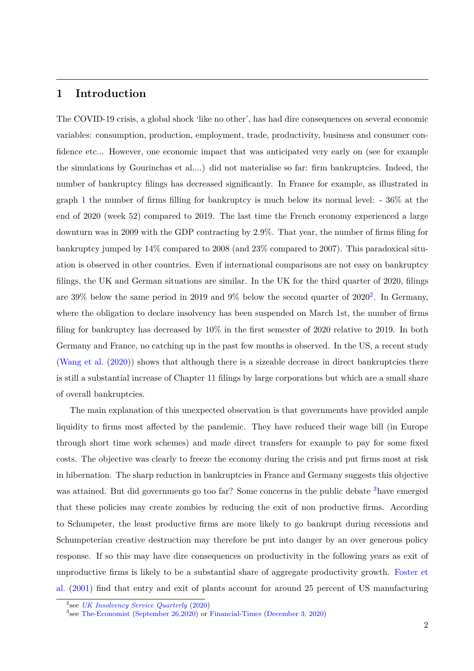### **1 Introduction**

The COVID-19 crisis, a global shock 'like no other', has had dire consequences on several economic variables: consumption, production, employment, trade, productivity, business and consumer confidence etc... However, one economic impact that was anticipated very early on (see for example the simulations by Gourinchas et al....) did not materialise so far: firm bankruptcies. Indeed, the number of bankruptcy filings has decreased significantly. In France for example, as illustrated in graph 1 the number of firms filling for bankruptcy is much below its normal level: - 36% at the end of 2020 (week 52) compared to 2019. The last time the French economy experienced a large downturn was in 2009 with the GDP contracting by 2.9%. That year, the number of firms filing for bankruptcy jumped by 14% compared to 2008 (and 23% compared to 2007). This paradoxical situation is observed in other countries. Even if international comparisons are not easy on bankruptcy filings, the UK and German situations are similar. In the UK for the third quarter of 2020, filings are 39% below the same period in 2019 and 9% below the second quarter of  $2020^2$ . In Germany, where the obligation to declare insolvency has been suspended on March 1st, the number of firms filing for bankruptcy has decreased by 10% in the first semester of 2020 relative to 2019. In both Germany and France, no catching up in the past few months is observed. In the US, a recent study (Wang et al. (2020)) shows that although there is a sizeable decrease in direct bankruptcies there is still a substantial increase of Chapter 11 filings by large corporations but which are a small share of overall bankruptcies.

The main explanation of this unexpected observation is that governments have provided ample liquidity to firms most affected by the pandemic. They have reduced their wage bill (in Europe through short time work schemes) and made direct transfers for example to pay for some fixed costs. The objective was clearly to freeze the economy during the crisis and put firms most at risk in hibernation. The sharp reduction in bankruptcies in France and Germany suggests this objective was attained. But did governments go too far? Some concerns in the public debate <sup>3</sup>have emerged that these policies may create zombies by reducing the exit of non productive firms. According to Schumpeter, the least productive firms are more likely to go bankrupt during recessions and Schumpeterian creative destruction may therefore be put into danger by an over generous policy response. If so this may have dire consequences on productivity in the following years as exit of unproductive firms is likely to be a substantial share of aggregate productivity growth. Foster et al. (2001) find that entry and exit of plants account for around 25 percent of US manufacturing

<sup>2</sup> see *UK Insolvency Service Quarterly* (2020)

<sup>3</sup> see The-Economist (September 26,2020) or Financial-Times (December 3, 2020)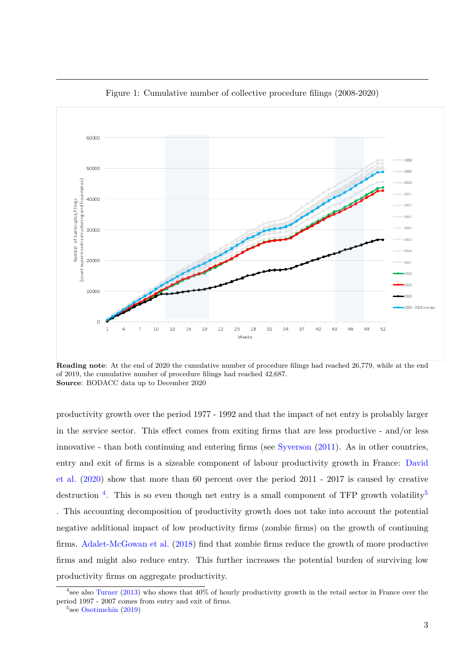

Figure 1: Cumulative number of collective procedure filings (2008-2020)

**Reading note**: At the end of 2020 the cumulative number of procedure filings had reached 26,779, while at the end of 2019, the cumulative number of procedure filings had reached 42,687. **Source**: BODACC data up to December 2020

productivity growth over the period 1977 - 1992 and that the impact of net entry is probably larger in the service sector. This effect comes from exiting firms that are less productive - and/or less innovative - than both continuing and entering firms (see Syverson (2011). As in other countries, entry and exit of firms is a sizeable component of labour productivity growth in France: David et al. (2020) show that more than 60 percent over the period 2011 - 2017 is caused by creative destruction <sup>4</sup>. This is so even though net entry is a small component of TFP growth volatility<sup>5</sup> . This accounting decomposition of productivity growth does not take into account the potential negative additional impact of low productivity firms (zombie firms) on the growth of continuing firms. Adalet-McGowan et al. (2018) find that zombie firms reduce the growth of more productive firms and might also reduce entry. This further increases the potential burden of surviving low productivity firms on aggregate productivity.

<sup>4</sup> see also Turner (2013) who shows that 40% of hourly productivity growth in the retail sector in France over the period 1997 - 2007 comes from entry and exit of firms.

<sup>&</sup>lt;sup>5</sup>see Osotimehin (2019)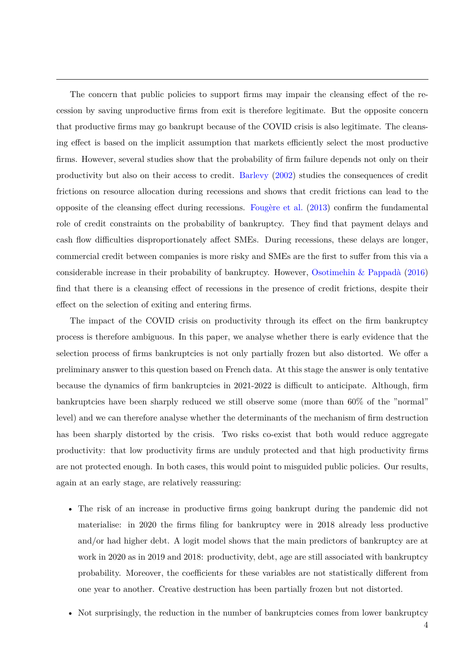The concern that public policies to support firms may impair the cleansing effect of the recession by saving unproductive firms from exit is therefore legitimate. But the opposite concern that productive firms may go bankrupt because of the COVID crisis is also legitimate. The cleansing effect is based on the implicit assumption that markets efficiently select the most productive firms. However, several studies show that the probability of firm failure depends not only on their productivity but also on their access to credit. Barlevy (2002) studies the consequences of credit frictions on resource allocation during recessions and shows that credit frictions can lead to the opposite of the cleansing effect during recessions. Fougère et al.  $(2013)$  confirm the fundamental role of credit constraints on the probability of bankruptcy. They find that payment delays and cash flow difficulties disproportionately affect SMEs. During recessions, these delays are longer, commercial credit between companies is more risky and SMEs are the first to suffer from this via a considerable increase in their probability of bankruptcy. However, Osotimehin  $\&$  Pappadà (2016) find that there is a cleansing effect of recessions in the presence of credit frictions, despite their effect on the selection of exiting and entering firms.

The impact of the COVID crisis on productivity through its effect on the firm bankruptcy process is therefore ambiguous. In this paper, we analyse whether there is early evidence that the selection process of firms bankruptcies is not only partially frozen but also distorted. We offer a preliminary answer to this question based on French data. At this stage the answer is only tentative because the dynamics of firm bankruptcies in 2021-2022 is difficult to anticipate. Although, firm bankruptcies have been sharply reduced we still observe some (more than 60% of the "normal" level) and we can therefore analyse whether the determinants of the mechanism of firm destruction has been sharply distorted by the crisis. Two risks co-exist that both would reduce aggregate productivity: that low productivity firms are unduly protected and that high productivity firms are not protected enough. In both cases, this would point to misguided public policies. Our results, again at an early stage, are relatively reassuring:

- The risk of an increase in productive firms going bankrupt during the pandemic did not materialise: in 2020 the firms filing for bankruptcy were in 2018 already less productive and/or had higher debt. A logit model shows that the main predictors of bankruptcy are at work in 2020 as in 2019 and 2018: productivity, debt, age are still associated with bankruptcy probability. Moreover, the coefficients for these variables are not statistically different from one year to another. Creative destruction has been partially frozen but not distorted.
- Not surprisingly, the reduction in the number of bankruptcies comes from lower bankruptcy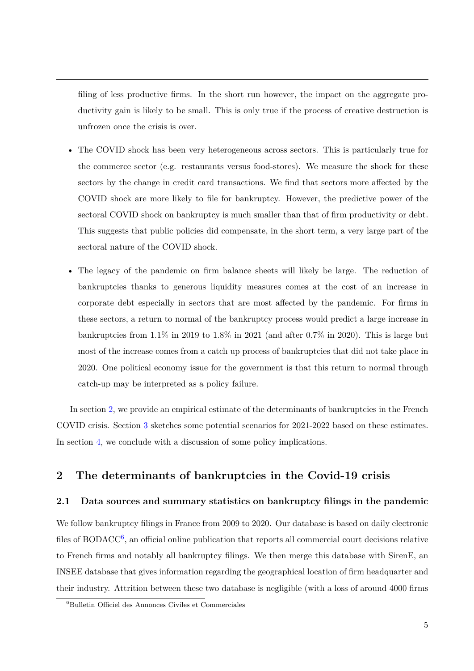filing of less productive firms. In the short run however, the impact on the aggregate productivity gain is likely to be small. This is only true if the process of creative destruction is unfrozen once the crisis is over.

- The COVID shock has been very heterogeneous across sectors. This is particularly true for the commerce sector (e.g. restaurants versus food-stores). We measure the shock for these sectors by the change in credit card transactions. We find that sectors more affected by the COVID shock are more likely to file for bankruptcy. However, the predictive power of the sectoral COVID shock on bankruptcy is much smaller than that of firm productivity or debt. This suggests that public policies did compensate, in the short term, a very large part of the sectoral nature of the COVID shock.
- The legacy of the pandemic on firm balance sheets will likely be large. The reduction of bankruptcies thanks to generous liquidity measures comes at the cost of an increase in corporate debt especially in sectors that are most affected by the pandemic. For firms in these sectors, a return to normal of the bankruptcy process would predict a large increase in bankruptcies from 1.1% in 2019 to 1.8% in 2021 (and after 0.7% in 2020). This is large but most of the increase comes from a catch up process of bankruptcies that did not take place in 2020. One political economy issue for the government is that this return to normal through catch-up may be interpreted as a policy failure.

In section 2, we provide an empirical estimate of the determinants of bankruptcies in the French COVID crisis. Section 3 sketches some potential scenarios for 2021-2022 based on these estimates. In section 4, we conclude with a discussion of some policy implications.

## **2 The determinants of bankruptcies in the Covid-19 crisis**

#### **2.1 Data sources and summary statistics on bankruptcy filings in the pandemic**

We follow bankruptcy filings in France from 2009 to 2020. Our database is based on daily electronic files of BODACC<sup>6</sup>, an official online publication that reports all commercial court decisions relative to French firms and notably all bankruptcy filings. We then merge this database with SirenE, an INSEE database that gives information regarding the geographical location of firm headquarter and their industry. Attrition between these two database is negligible (with a loss of around 4000 firms

 ${}^{6}$ Bulletin Officiel des Annonces Civiles et Commerciales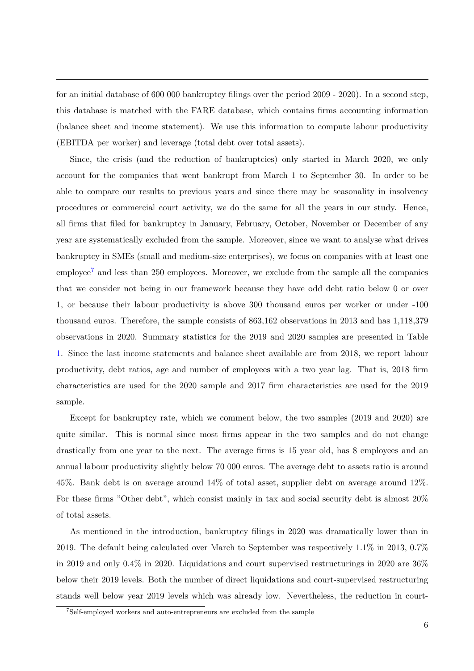for an initial database of 600 000 bankruptcy filings over the period 2009 - 2020). In a second step, this database is matched with the FARE database, which contains firms accounting information (balance sheet and income statement). We use this information to compute labour productivity (EBITDA per worker) and leverage (total debt over total assets).

Since, the crisis (and the reduction of bankruptcies) only started in March 2020, we only account for the companies that went bankrupt from March 1 to September 30. In order to be able to compare our results to previous years and since there may be seasonality in insolvency procedures or commercial court activity, we do the same for all the years in our study. Hence, all firms that filed for bankruptcy in January, February, October, November or December of any year are systematically excluded from the sample. Moreover, since we want to analyse what drives bankruptcy in SMEs (small and medium-size enterprises), we focus on companies with at least one employee<sup>7</sup> and less than 250 employees. Moreover, we exclude from the sample all the companies that we consider not being in our framework because they have odd debt ratio below 0 or over 1, or because their labour productivity is above 300 thousand euros per worker or under -100 thousand euros. Therefore, the sample consists of 863,162 observations in 2013 and has 1,118,379 observations in 2020. Summary statistics for the 2019 and 2020 samples are presented in Table 1. Since the last income statements and balance sheet available are from 2018, we report labour productivity, debt ratios, age and number of employees with a two year lag. That is, 2018 firm characteristics are used for the 2020 sample and 2017 firm characteristics are used for the 2019 sample.

Except for bankruptcy rate, which we comment below, the two samples (2019 and 2020) are quite similar. This is normal since most firms appear in the two samples and do not change drastically from one year to the next. The average firms is 15 year old, has 8 employees and an annual labour productivity slightly below 70 000 euros. The average debt to assets ratio is around 45%. Bank debt is on average around 14% of total asset, supplier debt on average around 12%. For these firms "Other debt", which consist mainly in tax and social security debt is almost 20% of total assets.

As mentioned in the introduction, bankruptcy filings in 2020 was dramatically lower than in 2019. The default being calculated over March to September was respectively 1.1% in 2013, 0.7% in 2019 and only 0.4% in 2020. Liquidations and court supervised restructurings in 2020 are 36% below their 2019 levels. Both the number of direct liquidations and court-supervised restructuring stands well below year 2019 levels which was already low. Nevertheless, the reduction in court-

<sup>&</sup>lt;sup>7</sup>Self-employed workers and auto-entrepreneurs are excluded from the sample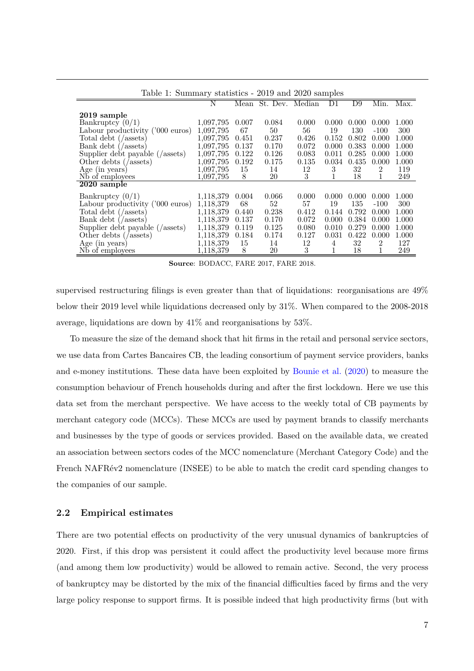| Table 1: Summary statistics - 2019 and 2020 samples |           |       |                      |       |       |       |                |       |
|-----------------------------------------------------|-----------|-------|----------------------|-------|-------|-------|----------------|-------|
|                                                     | N         |       | Mean St. Dev. Median |       | D1    | D9    | Min.           | Max.  |
| 2019 sample                                         |           |       |                      |       |       |       |                |       |
| Bankruptcy $(0/1)$                                  | 1,097,795 | 0.007 | 0.084                | 0.000 | 0.000 | 0.000 | 0.000          | 1.000 |
| Labour productivity ('000 euros)                    | 1,097,795 | 67    | 50                   | 56    | 19    | 130   | $-100$         | 300   |
| Total debt (/assets)                                | 1,097,795 | 0.451 | 0.237                | 0.426 | 0.152 | 0.802 | 0.000          | 1.000 |
| Bank debt (/assets)                                 | 1,097,795 | 0.137 | 0.170                | 0.072 | 0.000 | 0.383 | 0.000          | 1.000 |
| Supplier debt payable (/assets)                     | 1,097,795 | 0.122 | 0.126                | 0.083 | 0.011 | 0.285 | 0.000          | 1.000 |
| Other debts (/assets)                               | 1,097,795 | 0.192 | 0.175                | 0.135 | 0.034 | 0.435 | 0.000          | 1.000 |
| Age (in years)                                      | 1,097,795 | 15    | 14                   | 12    | 3     | 32    | $\overline{2}$ | 119   |
| Nb of employees                                     | 1,097,795 | 8     | 20                   | 3     |       | 18    |                | 249   |
| 2020 sample                                         |           |       |                      |       |       |       |                |       |
|                                                     |           |       |                      |       |       |       |                |       |
| Bankruptcy $(0/1)$                                  | 1,118,379 | 0.004 | 0.066                | 0.000 | 0.000 | 0.000 | 0.000          | 1.000 |
| Labour productivity ('000 euros)                    | 1,118,379 | 68    | 52                   | 57    | 19    | 135   | $-100$         | 300   |
| Total debt (/assets)                                | 1,118,379 | 0.440 | 0.238                | 0.412 | 0.144 | 0.792 | 0.000          | 1.000 |
| Bank debt $\left(\right/$ assets)                   | 1,118,379 | 0.137 | 0.170                | 0.072 | 0.000 | 0.384 | 0.000          | 1.000 |
| Supplier debt payable (/assets)                     | 1,118,379 | 0.119 | 0.125                | 0.080 | 0.010 | 0.279 | 0.000          | 1.000 |
| Other debts (/assets)                               | 1,118,379 | 0.184 | 0.174                | 0.127 | 0.031 | 0.422 | 0.000          | 1.000 |
| Age (in years)                                      | 1,118,379 | 15    | 14                   | 12    | 4     | 32    | $\overline{2}$ | 127   |
| N <sub>b</sub> of employees                         | 1,118,379 | 8     | 20                   | 3     |       | 18    |                | 249   |

Table 1: Summary statistics - 2019 and 2020 samples

**Source**: BODACC, FARE 2017, FARE 2018.

supervised restructuring filings is even greater than that of liquidations: reorganisations are 49% below their 2019 level while liquidations decreased only by 31%. When compared to the 2008-2018 average, liquidations are down by 41% and reorganisations by 53%.

To measure the size of the demand shock that hit firms in the retail and personal service sectors, we use data from Cartes Bancaires CB, the leading consortium of payment service providers, banks and e-money institutions. These data have been exploited by Bounie et al. (2020) to measure the consumption behaviour of French households during and after the first lockdown. Here we use this data set from the merchant perspective. We have access to the weekly total of CB payments by merchant category code (MCCs). These MCCs are used by payment brands to classify merchants and businesses by the type of goods or services provided. Based on the available data, we created an association between sectors codes of the MCC nomenclature (Merchant Category Code) and the French NAFR $\acute{e}v2$  nomenclature (INSEE) to be able to match the credit card spending changes to the companies of our sample.

#### **2.2 Empirical estimates**

There are two potential effects on productivity of the very unusual dynamics of bankruptcies of 2020. First, if this drop was persistent it could affect the productivity level because more firms (and among them low productivity) would be allowed to remain active. Second, the very process of bankruptcy may be distorted by the mix of the financial difficulties faced by firms and the very large policy response to support firms. It is possible indeed that high productivity firms (but with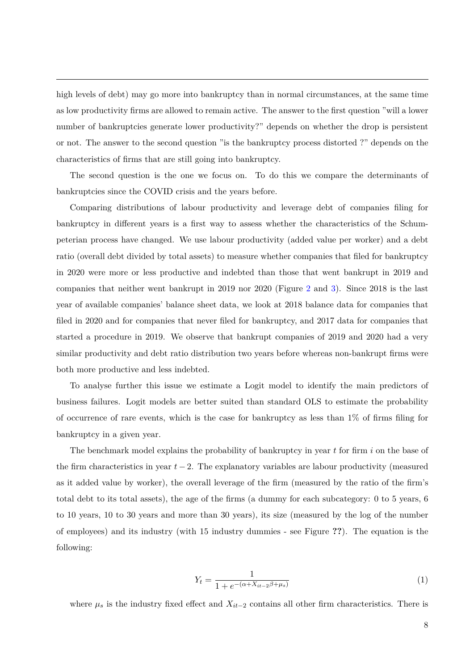high levels of debt) may go more into bankruptcy than in normal circumstances, at the same time as low productivity firms are allowed to remain active. The answer to the first question "will a lower number of bankruptcies generate lower productivity?" depends on whether the drop is persistent or not. The answer to the second question "is the bankruptcy process distorted ?" depends on the characteristics of firms that are still going into bankruptcy.

The second question is the one we focus on. To do this we compare the determinants of bankruptcies since the COVID crisis and the years before.

Comparing distributions of labour productivity and leverage debt of companies filing for bankruptcy in different years is a first way to assess whether the characteristics of the Schumpeterian process have changed. We use labour productivity (added value per worker) and a debt ratio (overall debt divided by total assets) to measure whether companies that filed for bankruptcy in 2020 were more or less productive and indebted than those that went bankrupt in 2019 and companies that neither went bankrupt in 2019 nor 2020 (Figure 2 and 3). Since 2018 is the last year of available companies' balance sheet data, we look at 2018 balance data for companies that filed in 2020 and for companies that never filed for bankruptcy, and 2017 data for companies that started a procedure in 2019. We observe that bankrupt companies of 2019 and 2020 had a very similar productivity and debt ratio distribution two years before whereas non-bankrupt firms were both more productive and less indebted.

To analyse further this issue we estimate a Logit model to identify the main predictors of business failures. Logit models are better suited than standard OLS to estimate the probability of occurrence of rare events, which is the case for bankruptcy as less than  $1\%$  of firms filing for bankruptcy in a given year.

The benchmark model explains the probability of bankruptcy in year *t* for firm *i* on the base of the firm characteristics in year  $t-2$ . The explanatory variables are labour productivity (measured as it added value by worker), the overall leverage of the firm (measured by the ratio of the firm's total debt to its total assets), the age of the firms (a dummy for each subcategory: 0 to 5 years, 6 to 10 years, 10 to 30 years and more than 30 years), its size (measured by the log of the number of employees) and its industry (with 15 industry dummies - see Figure **??**). The equation is the following:

$$
Y_t = \frac{1}{1 + e^{-(\alpha + X_{it-2}\beta + \mu_s)}}
$$
(1)

where  $\mu_s$  is the industry fixed effect and  $X_{it-2}$  contains all other firm characteristics. There is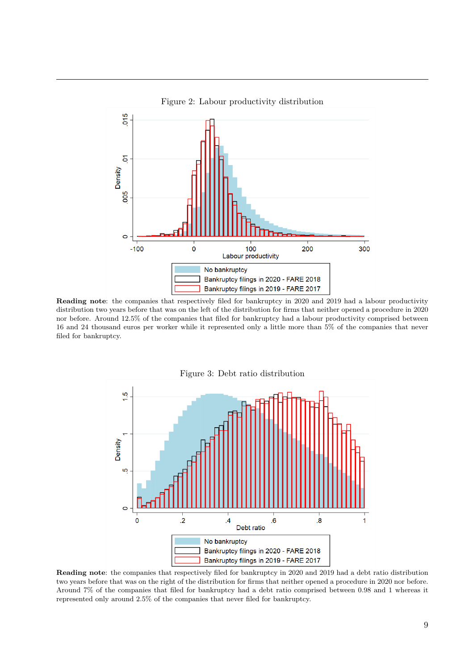

**Reading note**: the companies that respectively filed for bankruptcy in 2020 and 2019 had a labour productivity distribution two years before that was on the left of the distribution for firms that neither opened a procedure in 2020 nor before. Around 12.5% of the companies that filed for bankruptcy had a labour productivity comprised between 16 and 24 thousand euros per worker while it represented only a little more than 5% of the companies that never filed for bankruptcy.



**Reading note**: the companies that respectively filed for bankruptcy in 2020 and 2019 had a debt ratio distribution two years before that was on the right of the distribution for firms that neither opened a procedure in 2020 nor before. Around 7% of the companies that filed for bankruptcy had a debt ratio comprised between 0.98 and 1 whereas it represented only around 2.5% of the companies that never filed for bankruptcy.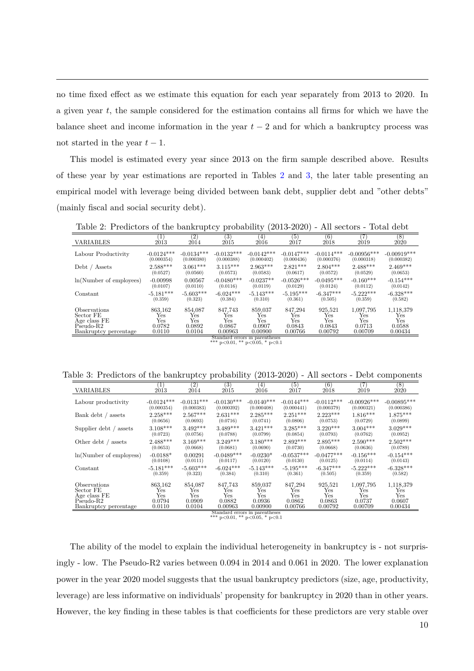no time fixed effect as we estimate this equation for each year separately from 2013 to 2020. In a given year *t*, the sample considered for the estimation contains all firms for which we have the balance sheet and income information in the year  $t-2$  and for which a bankruptcy process was not started in the year  $t-1$ .

This model is estimated every year since 2013 on the firm sample described above. Results of these year by year estimations are reported in Tables 2 and 3, the later table presenting an empirical model with leverage being divided between bank debt, supplier debt and "other debts" (mainly fiscal and social security debt).

Table 2: Predictors of the bankruptcy probability (2013-2020) - All sectors - Total debt

| <b>VARIABLES</b>           | 2013         | $\left( 2\right)$<br>2014 | (3)<br>2015  | (4)<br>2016  | (5)<br>2017  | (6)<br>2018  | 2019          | (8)<br>2020   |
|----------------------------|--------------|---------------------------|--------------|--------------|--------------|--------------|---------------|---------------|
| Labour Productivity        | $-0.0124***$ | $-0.0134***$              | $-0.0132***$ | $-0.0142***$ | $-0.0147***$ | $-0.0114***$ | $-0.00956***$ | $-0.00919***$ |
|                            | (0.000354)   | (0.000380)                | (0.000388)   | (0.000402)   | (0.000436)   | (0.000376)   | (0.000318)    | (0.000382)    |
| Debt / Assets              | $2.588***$   | $3.061***$                | $3.115***$   | $2.963***$   | $2.821***$   | $2.804***$   | $2.488***$    | $2.469***$    |
|                            | (0.0527)     | (0.0560)                  | (0.0573)     | (0.0583)     | (0.0617)     | (0.0572)     | (0.0529)      | (0.0653)      |
| ln(Number of employees)    | $-0.00998$   | 0.00567                   | $-0.0480***$ | $-0.0237**$  | $-0.0526***$ | $-0.0495***$ | $-0.160***$   | $-0.154***$   |
|                            | (0.0107)     | (0.0110)                  | (0.0116)     | (0.0119)     | (0.0129)     | (0.0124)     | (0.0112)      | (0.0142)      |
| Constant                   | $-5.181***$  | $-5.603***$               | $-6.024***$  | $-5.143***$  | $-5.195***$  | $-6.347***$  | $-5.222***$   | $-6.328***$   |
|                            | (0.359)      | (0.323)                   | (0.384)      | (0.310)      | (0.361)      | (0.505)      | (0.359)       | (0.582)       |
| <i><b>Observations</b></i> | 863.162      | 854.087                   | 847.743      | 859.037      | 847.294      | 925.521      | 1.097.795     | 1,118,379     |
| Sector FE                  | Yes          | Yes                       | Yes          | Yes          | Yes          | Yes          | Yes           | Yes           |
| Age class FE               | Yes          | Yes                       | Yes          | Yes          | Yes          | Yes          | Yes           | Yes           |
| $Pseudo-R2$                | 0.0782       | 0.0892                    | 0.0867       | 0.0907       | 0.0843       | 0.0843       | 0.0713        | 0.0588        |
| Bankruptcy percentage      | 0.0110       | 0.0104                    | 0.00963      | 0.00900      | 0.00766      | 0.00792      | 0.00709       | 0.00434       |

Standard errors in parentheses \*\*\* p*<*0.01, \*\* p*<*0.05, \* p*<*0.1

Table 3: Predictors of the bankruptcy probability (2013-2020) - All sectors - Debt components

| <b>VARIABLES</b>           | 2013         | $\left( 2\right)$<br>2014 | (3)<br>2015  | $^{(4)}$<br>2016 | (5)<br>2017  | (6)<br>2018  | (7)<br>2019   | (8)<br>2020   |
|----------------------------|--------------|---------------------------|--------------|------------------|--------------|--------------|---------------|---------------|
| Labour productivity        | $-0.0124***$ | $-0.0131***$              | $-0.0130***$ | $-0.0140***$     | $-0.0144***$ | $-0.0112***$ | $-0.00926***$ | $-0.00895***$ |
|                            | (0.000354)   | (0.000383)                | (0.000392)   | (0.000408)       | (0.000441)   | (0.000379)   | (0.000321)    | (0.000386)    |
| Bank debt / assets         | $2.258***$   | $2.567***$                | $2.631***$   | $2.285***$       | $2.251***$   | $2.223***$   | $1.816***$    | $1.875***$    |
|                            | (0.0656)     | (0.0693)                  | (0.0716)     | (0.0741)         | (0.0806)     | (0.0753)     | (0.0729)      | (0.0899)      |
| Supplier debt / assets     | $3.108***$   | $3.492***$                | $3.489***$   | $3.421***$       | $3.285***$   | $3.220***$   | $3.004***$    | $3.029***$    |
|                            | (0.0723)     | (0.0756)                  | (0.0788)     | (0.0799)         | (0.0854)     | (0.0793)     | (0.0762)      | (0.0952)      |
| Other debt / assets        | $2.488***$   | $3.169***$                | $3.249***$   | $3.180***$       | $2.892***$   | $2.895***$   | $2.590***$    | $2.502***$    |
|                            | (0.0653)     | (0.0668)                  | (0.0681)     | (0.0690)         | (0.0730)     | (0.0668)     | (0.0636)      | (0.0789)      |
| ln(Number of employess)    | $-0.0188*$   | 0.00291                   | $-0.0489***$ | $-0.0230*$       | $-0.0537***$ | $-0.0477***$ | $-0.156***$   | $-0.154***$   |
|                            | (0.0108)     | (0.0111)                  | (0.0117)     | (0.0120)         | (0.0130)     | (0.0125)     | (0.0114)      | (0.0143)      |
| Constant                   | $-5.181***$  | $-5.603***$               | $-6.024***$  | $-5.143***$      | $-5.195***$  | $-6.347***$  | $-5.222***$   | $-6.328***$   |
|                            | (0.359)      | (0.323)                   | (0.384)      | (0.310)          | (0.361)      | (0.505)      | (0.359)       | (0.582)       |
| <i><b>Observations</b></i> | 863.162      | 854.087                   | 847.743      | 859.037          | 847.294      | 925.521      | 1,097,795     | 1,118,379     |
| Sector FE                  | Yes          | Yes                       | Yes          | Yes              | Yes          | Yes          | Yes           | Yes           |
| Age class FE               | Yes          | Yes                       | Yes          | Yes              | Yes          | Yes          | Yes           | Yes           |
| $Pseudo-R2$                | 0.0794       | 0.0909                    | 0.0882       | 0.0936           | 0.0862       | 0.0863       | 0.0737        | 0.0607        |
| Bankruptcy percentage      | 0.0110       | 0.0104                    | 0.00963      | 0.00900          | 0.00766      | 0.00792      | 0.00709       | 0.00434       |

Standard errors in parentheses \*\*\* p*<*0.01, \*\* p*<*0.05, \* p*<*0.1

The ability of the model to explain the individual heterogeneity in bankruptcy is - not surprisingly - low. The Pseudo-R2 varies between 0.094 in 2014 and 0.061 in 2020. The lower explanation power in the year 2020 model suggests that the usual bankruptcy predictors (size, age, productivity, leverage) are less informative on individuals' propensity for bankruptcy in 2020 than in other years. However, the key finding in these tables is that coefficients for these predictors are very stable over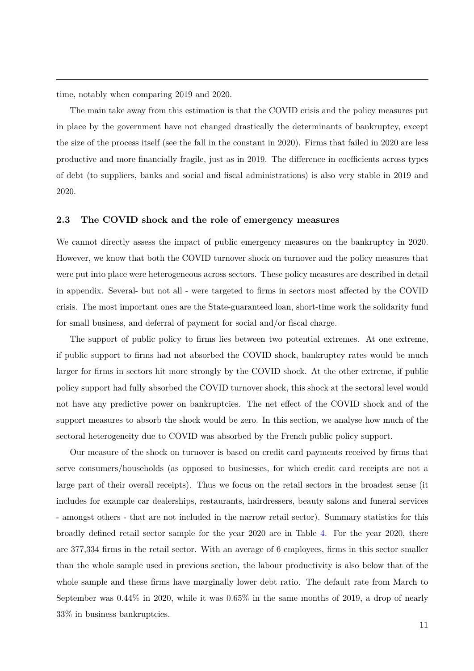time, notably when comparing 2019 and 2020.

The main take away from this estimation is that the COVID crisis and the policy measures put in place by the government have not changed drastically the determinants of bankruptcy, except the size of the process itself (see the fall in the constant in 2020). Firms that failed in 2020 are less productive and more financially fragile, just as in 2019. The difference in coefficients across types of debt (to suppliers, banks and social and fiscal administrations) is also very stable in 2019 and 2020.

#### **2.3 The COVID shock and the role of emergency measures**

We cannot directly assess the impact of public emergency measures on the bankruptcy in 2020. However, we know that both the COVID turnover shock on turnover and the policy measures that were put into place were heterogeneous across sectors. These policy measures are described in detail in appendix. Several- but not all - were targeted to firms in sectors most affected by the COVID crisis. The most important ones are the State-guaranteed loan, short-time work the solidarity fund for small business, and deferral of payment for social and/or fiscal charge.

The support of public policy to firms lies between two potential extremes. At one extreme, if public support to firms had not absorbed the COVID shock, bankruptcy rates would be much larger for firms in sectors hit more strongly by the COVID shock. At the other extreme, if public policy support had fully absorbed the COVID turnover shock, this shock at the sectoral level would not have any predictive power on bankruptcies. The net effect of the COVID shock and of the support measures to absorb the shock would be zero. In this section, we analyse how much of the sectoral heterogeneity due to COVID was absorbed by the French public policy support.

Our measure of the shock on turnover is based on credit card payments received by firms that serve consumers/households (as opposed to businesses, for which credit card receipts are not a large part of their overall receipts). Thus we focus on the retail sectors in the broadest sense (it includes for example car dealerships, restaurants, hairdressers, beauty salons and funeral services - amongst others - that are not included in the narrow retail sector). Summary statistics for this broadly defined retail sector sample for the year 2020 are in Table 4. For the year 2020, there are 377,334 firms in the retail sector. With an average of 6 employees, firms in this sector smaller than the whole sample used in previous section, the labour productivity is also below that of the whole sample and these firms have marginally lower debt ratio. The default rate from March to September was 0.44% in 2020, while it was 0.65% in the same months of 2019, a drop of nearly 33% in business bankruptcies.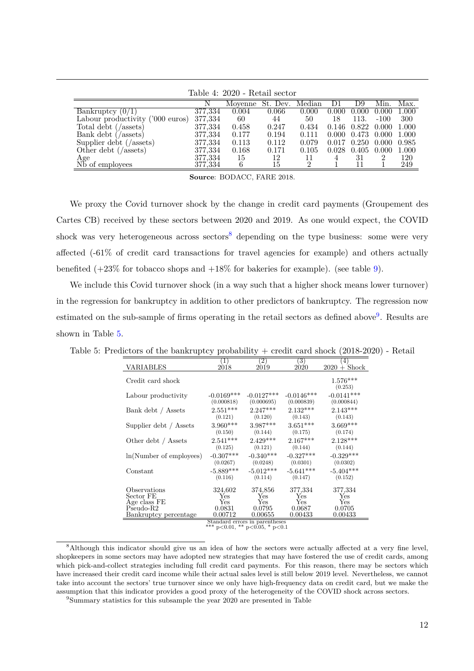| Table 4: 2020 - Retail sector         |         |         |                 |       |       |                                 |        |       |
|---------------------------------------|---------|---------|-----------------|-------|-------|---------------------------------|--------|-------|
|                                       |         | Movenne | St. Dev. Median |       | DI    | D9                              | Min.   | Max.  |
| Bankruptcy $(0/1)$                    | 377,334 | 0.004   | 0.066           | 0.000 | 0.000 | 0.000                           | 0.000  | 1.000 |
| Labour productivity ('000 euros)      | 377,334 | 60      | 44              | 50    | 18    | 113.                            | $-100$ | 300   |
| Total debt (/assets)                  | 377,334 | 0.458   | 0.247           | 0.434 |       | $0.146$ $0.822$ $0.000$         |        | 1.000 |
| Bank debt $\left(\right)$ (assets)    | 377,334 | 0.177   | 0.194           | 0.111 |       | $0.000 \quad 0.473 \quad 0.000$ |        | 1.000 |
| Supplier debt $\left(\right/$ assets) | 377,334 | 0.113   | 0.112           | 0.079 |       | $0.017$ $0.250$ $0.000$         |        | 0.985 |
| Other debt $\left(\right/$ assets)    | 377,334 | 0.168   | 0.171           | 0.105 |       | $0.028$ $0.405$ $0.000$         |        | 1.000 |
| Age<br>Nb of employees                | 377,334 | 15      | 12              |       |       | 31                              |        | 120   |
|                                       | 377,334 | 6       | 15              |       |       |                                 |        | 249   |

Table 4: 2020 - Retail sector

**Source**: BODACC, FARE 2018.

We proxy the Covid turnover shock by the change in credit card payments (Groupement des Cartes CB) received by these sectors between 2020 and 2019. As one would expect, the COVID shock was very heterogeneous across sectors<sup>8</sup> depending on the type business: some were very affected (-61% of credit card transactions for travel agencies for example) and others actually benefited  $(+23\%$  for tobacco shops and  $+18\%$  for bakeries for example). (see table 9).

We include this Covid turnover shock (in a way such that a higher shock means lower turnover) in the regression for bankruptcy in addition to other predictors of bankruptcy. The regression now estimated on the sub-sample of firms operating in the retail sectors as defined above<sup>9</sup>. Results are shown in Table 5.

|                           | ັ<br>л.      |                                |              |                       |
|---------------------------|--------------|--------------------------------|--------------|-----------------------|
| VARIABLES                 | $\mathbf{1}$ | (2)                            | (3)          | $\left( 4\right)$     |
|                           | 2018         | 2019                           | 2020         | $2020 +$ Shock        |
| Credit card shock         |              |                                |              | $1.576***$<br>(0.253) |
| Labour productivity       | $-0.0169***$ | $-0.0127***$                   | $-0.0146***$ | $-0.0141***$          |
|                           | (0.000818)   | (0.000695)                     | (0.000839)   | (0.000844)            |
| Bank debt / Assets        | $2.551***$   | $2.247***$                     | $2.132***$   | $2.143***$            |
|                           | (0.121)      | (0.120)                        | (0.143)      | (0.143)               |
| Supplier debt / Assets    | $3.960***$   | $3.987***$                     | $3.651***$   | $3.669***$            |
|                           | (0.150)      | (0.144)                        | (0.175)      | (0.174)               |
| Other debt / Assets       | $2.541***$   | $2.429***$                     | $2.167***$   | $2.128***$            |
|                           | (0.125)      | (0.121)                        | (0.144)      | (0.144)               |
| $ln(Number$ of employees) | $-0.307***$  | $-0.340***$                    | $-0.327***$  | $-0.329***$           |
|                           | (0.0267)     | (0.0248)                       | (0.0301)     | (0.0302)              |
| Constant                  | $-5.889***$  | $-5.012***$                    | $-5.641***$  | $-5.404***$           |
|                           | (0.116)      | (0.114)                        | (0.147)      | (0.152)               |
| Observations              | 324,602      | 374,856                        | 377,334      | 377,334               |
| Sector FE                 | Yes          | Yes                            | Yes          | Yes                   |
| Age class FE              | Yes          | Yes                            | Yes          | Yes                   |
| $Pseudo-R2$               | 0.0831       | 0.0795                         | 0.0687       | 0.0705                |
| Bankruptcy percentage     | 0.00712      | 0.00655                        | 0.00433      | 0.00433               |
|                           |              | Standard orrors in paronthosos |              |                       |

Table 5: Predictors of the bankruptcy probability + credit card shock (2018-2020) - Retail

Standard errors in parentheses \*\*\* p*<*0.01, \*\* p*<*0.05, \* p*<*0.1

<sup>8</sup>Although this indicator should give us an idea of how the sectors were actually affected at a very fine level, shopkeepers in some sectors may have adopted new strategies that may have fostered the use of credit cards, among which pick-and-collect strategies including full credit card payments. For this reason, there may be sectors which have increased their credit card income while their actual sales level is still below 2019 level. Nevertheless, we cannot take into account the sectors' true turnover since we only have high-frequency data on credit card, but we make the assumption that this indicator provides a good proxy of the heterogeneity of the COVID shock across sectors.

<sup>&</sup>lt;sup>9</sup>Summary statistics for this subsample the year 2020 are presented in Table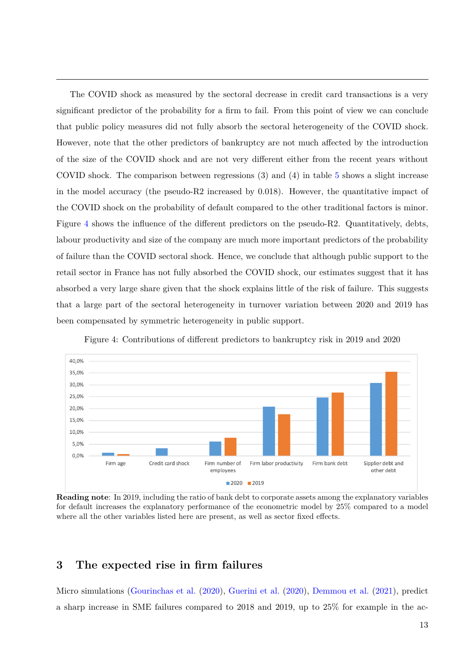The COVID shock as measured by the sectoral decrease in credit card transactions is a very significant predictor of the probability for a firm to fail. From this point of view we can conclude that public policy measures did not fully absorb the sectoral heterogeneity of the COVID shock. However, note that the other predictors of bankruptcy are not much affected by the introduction of the size of the COVID shock and are not very different either from the recent years without COVID shock. The comparison between regressions (3) and (4) in table 5 shows a slight increase in the model accuracy (the pseudo-R2 increased by 0.018). However, the quantitative impact of the COVID shock on the probability of default compared to the other traditional factors is minor. Figure 4 shows the influence of the different predictors on the pseudo-R2. Quantitatively, debts, labour productivity and size of the company are much more important predictors of the probability of failure than the COVID sectoral shock. Hence, we conclude that although public support to the retail sector in France has not fully absorbed the COVID shock, our estimates suggest that it has absorbed a very large share given that the shock explains little of the risk of failure. This suggests that a large part of the sectoral heterogeneity in turnover variation between 2020 and 2019 has been compensated by symmetric heterogeneity in public support.



Figure 4: Contributions of different predictors to bankruptcy risk in 2019 and 2020

**Reading note**: In 2019, including the ratio of bank debt to corporate assets among the explanatory variables for default increases the explanatory performance of the econometric model by 25% compared to a model where all the other variables listed here are present, as well as sector fixed effects.

## **3 The expected rise in firm failures**

Micro simulations (Gourinchas et al. (2020), Guerini et al. (2020), Demmou et al. (2021), predict a sharp increase in SME failures compared to 2018 and 2019, up to 25% for example in the ac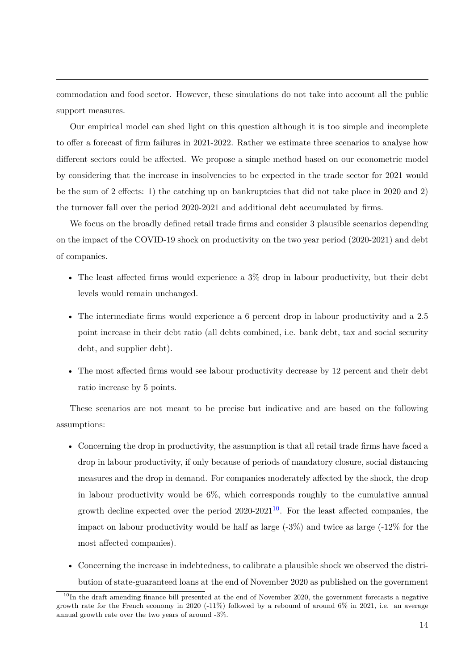commodation and food sector. However, these simulations do not take into account all the public support measures.

Our empirical model can shed light on this question although it is too simple and incomplete to offer a forecast of firm failures in 2021-2022. Rather we estimate three scenarios to analyse how different sectors could be affected. We propose a simple method based on our econometric model by considering that the increase in insolvencies to be expected in the trade sector for 2021 would be the sum of 2 effects: 1) the catching up on bankruptcies that did not take place in 2020 and 2) the turnover fall over the period 2020-2021 and additional debt accumulated by firms.

We focus on the broadly defined retail trade firms and consider 3 plausible scenarios depending on the impact of the COVID-19 shock on productivity on the two year period (2020-2021) and debt of companies.

- The least affected firms would experience a 3% drop in labour productivity, but their debt levels would remain unchanged.
- The intermediate firms would experience a 6 percent drop in labour productivity and a 2.5 point increase in their debt ratio (all debts combined, i.e. bank debt, tax and social security debt, and supplier debt).
- The most affected firms would see labour productivity decrease by 12 percent and their debt ratio increase by 5 points.

These scenarios are not meant to be precise but indicative and are based on the following assumptions:

- Concerning the drop in productivity, the assumption is that all retail trade firms have faced a drop in labour productivity, if only because of periods of mandatory closure, social distancing measures and the drop in demand. For companies moderately affected by the shock, the drop in labour productivity would be 6%, which corresponds roughly to the cumulative annual growth decline expected over the period  $2020-2021^{10}$ . For the least affected companies, the impact on labour productivity would be half as large  $(-3\%)$  and twice as large  $(-12\%$  for the most affected companies).
- Concerning the increase in indebtedness, to calibrate a plausible shock we observed the distribution of state-guaranteed loans at the end of November 2020 as published on the government

 $10$ In the draft amending finance bill presented at the end of November 2020, the government forecasts a negative growth rate for the French economy in 2020 (-11%) followed by a rebound of around 6% in 2021, i.e. an average annual growth rate over the two years of around -3%.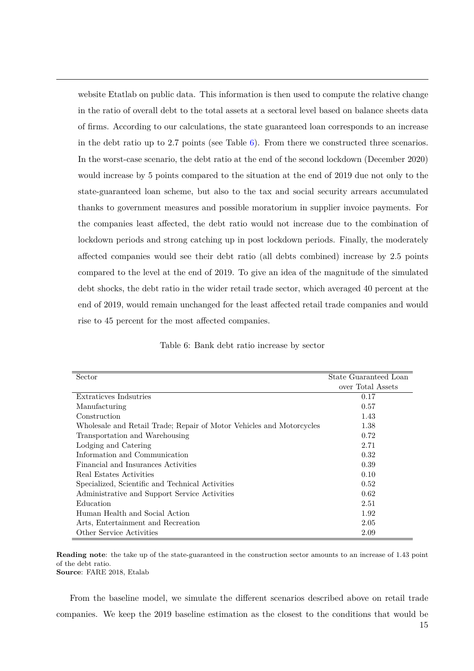website Etatlab on public data. This information is then used to compute the relative change in the ratio of overall debt to the total assets at a sectoral level based on balance sheets data of firms. According to our calculations, the state guaranteed loan corresponds to an increase in the debt ratio up to 2.7 points (see Table  $6$ ). From there we constructed three scenarios. In the worst-case scenario, the debt ratio at the end of the second lockdown (December 2020) would increase by 5 points compared to the situation at the end of 2019 due not only to the state-guaranteed loan scheme, but also to the tax and social security arrears accumulated thanks to government measures and possible moratorium in supplier invoice payments. For the companies least affected, the debt ratio would not increase due to the combination of lockdown periods and strong catching up in post lockdown periods. Finally, the moderately affected companies would see their debt ratio (all debts combined) increase by 2.5 points compared to the level at the end of 2019. To give an idea of the magnitude of the simulated debt shocks, the debt ratio in the wider retail trade sector, which averaged 40 percent at the end of 2019, would remain unchanged for the least affected retail trade companies and would rise to 45 percent for the most affected companies.

|  |  |  |  | Table 6: Bank debt ratio increase by sector |  |  |
|--|--|--|--|---------------------------------------------|--|--|
|--|--|--|--|---------------------------------------------|--|--|

| Sector                                                               | State Guaranteed Loan |
|----------------------------------------------------------------------|-----------------------|
|                                                                      | over Total Assets     |
| Extraticves Indsutries                                               | 0.17                  |
| Manufacturing                                                        | 0.57                  |
| Construction                                                         | 1.43                  |
| Wholesale and Retail Trade; Repair of Motor Vehicles and Motorcycles | 1.38                  |
| Transportation and Warehousing                                       | 0.72                  |
| Lodging and Catering                                                 | 2.71                  |
| Information and Communication                                        | 0.32                  |
| Financial and Insurances Activities                                  | 0.39                  |
| Real Estates Activities                                              | 0.10                  |
| Specialized, Scientific and Technical Activities                     | 0.52                  |
| Administrative and Support Service Activities                        | 0.62                  |
| Education                                                            | 2.51                  |
| Human Health and Social Action                                       | 1.92                  |
| Arts, Entertainment and Recreation                                   | 2.05                  |
| Other Service Activities                                             | 2.09                  |

**Reading note**: the take up of the state-guaranteed in the construction sector amounts to an increase of 1.43 point of the debt ratio. **Source**: FARE 2018, Etalab

From the baseline model, we simulate the different scenarios described above on retail trade companies. We keep the 2019 baseline estimation as the closest to the conditions that would be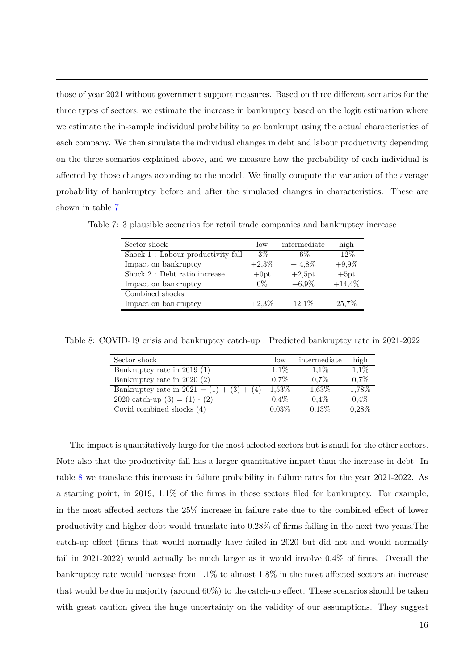those of year 2021 without government support measures. Based on three different scenarios for the three types of sectors, we estimate the increase in bankruptcy based on the logit estimation where we estimate the in-sample individual probability to go bankrupt using the actual characteristics of each company. We then simulate the individual changes in debt and labour productivity depending on the three scenarios explained above, and we measure how the probability of each individual is affected by those changes according to the model. We finally compute the variation of the average probability of bankruptcy before and after the simulated changes in characteristics. These are shown in table 7

| Sector shock                      | $\log$   | intermediate | high     |
|-----------------------------------|----------|--------------|----------|
| Shock 1: Labour productivity fall | $-3\%$   | $-6\%$       | $-12\%$  |
| Impact on bankruptcy              | $+2,3\%$ | $+4,8\%$     | $+9,9\%$ |
| Shock 2 : Debt ratio increase     | $+0pt$   | $+2,5pt$     | $+5pt$   |
| Impact on bankruptcy              | $0\%$    | $+6.9\%$     | $+14,4%$ |
| Combined shocks                   |          |              |          |
| Impact on bankruptcy              | $+2,3\%$ | $12.1\%$     | 25,7%    |

Table 7: 3 plausible scenarios for retail trade companies and bankruptcy increase

Table 8: COVID-19 crisis and bankruptcy catch-up : Predicted bankruptcy rate in 2021-2022

| Sector shock                                | low     | intermediate | high    |
|---------------------------------------------|---------|--------------|---------|
| Bankruptcy rate in 2019 (1)                 | $1.1\%$ | $1.1\%$      | $1,1\%$ |
| Bankruptcy rate in 2020 (2)                 | $0.7\%$ | $0.7\%$      | 0.7%    |
| Bankruptcy rate in $2021 = (1) + (3) + (4)$ | 1,53%   | 1,63%        | 1,78%   |
| 2020 catch-up $(3) = (1) - (2)$             | $0.4\%$ | $0.4\%$      | 0,4%    |
| Covid combined shocks $(4)$                 | 0.03%   | 0,13%        | 0,28%   |

The impact is quantitatively large for the most affected sectors but is small for the other sectors. Note also that the productivity fall has a larger quantitative impact than the increase in debt. In table 8 we translate this increase in failure probability in failure rates for the year 2021-2022. As a starting point, in 2019, 1.1% of the firms in those sectors filed for bankruptcy. For example, in the most affected sectors the 25% increase in failure rate due to the combined effect of lower productivity and higher debt would translate into 0.28% of firms failing in the next two years.The catch-up effect (firms that would normally have failed in 2020 but did not and would normally fail in 2021-2022) would actually be much larger as it would involve 0.4% of firms. Overall the bankruptcy rate would increase from 1.1% to almost 1.8% in the most affected sectors an increase that would be due in majority (around 60%) to the catch-up effect. These scenarios should be taken with great caution given the huge uncertainty on the validity of our assumptions. They suggest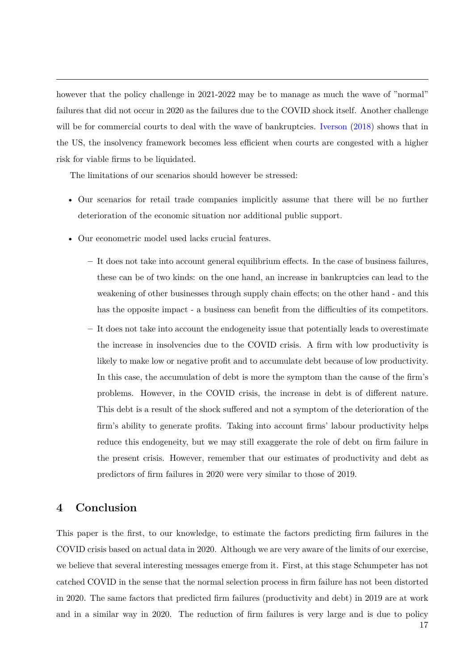however that the policy challenge in 2021-2022 may be to manage as much the wave of "normal" failures that did not occur in 2020 as the failures due to the COVID shock itself. Another challenge will be for commercial courts to deal with the wave of bankruptcies. Iverson (2018) shows that in the US, the insolvency framework becomes less efficient when courts are congested with a higher risk for viable firms to be liquidated.

The limitations of our scenarios should however be stressed:

- Our scenarios for retail trade companies implicitly assume that there will be no further deterioration of the economic situation nor additional public support.
- Our econometric model used lacks crucial features.
	- **–** It does not take into account general equilibrium effects. In the case of business failures, these can be of two kinds: on the one hand, an increase in bankruptcies can lead to the weakening of other businesses through supply chain effects; on the other hand - and this has the opposite impact - a business can benefit from the difficulties of its competitors.
	- **–** It does not take into account the endogeneity issue that potentially leads to overestimate the increase in insolvencies due to the COVID crisis. A firm with low productivity is likely to make low or negative profit and to accumulate debt because of low productivity. In this case, the accumulation of debt is more the symptom than the cause of the firm's problems. However, in the COVID crisis, the increase in debt is of different nature. This debt is a result of the shock suffered and not a symptom of the deterioration of the firm's ability to generate profits. Taking into account firms' labour productivity helps reduce this endogeneity, but we may still exaggerate the role of debt on firm failure in the present crisis. However, remember that our estimates of productivity and debt as predictors of firm failures in 2020 were very similar to those of 2019.

## **4 Conclusion**

This paper is the first, to our knowledge, to estimate the factors predicting firm failures in the COVID crisis based on actual data in 2020. Although we are very aware of the limits of our exercise, we believe that several interesting messages emerge from it. First, at this stage Schumpeter has not catched COVID in the sense that the normal selection process in firm failure has not been distorted in 2020. The same factors that predicted firm failures (productivity and debt) in 2019 are at work and in a similar way in 2020. The reduction of firm failures is very large and is due to policy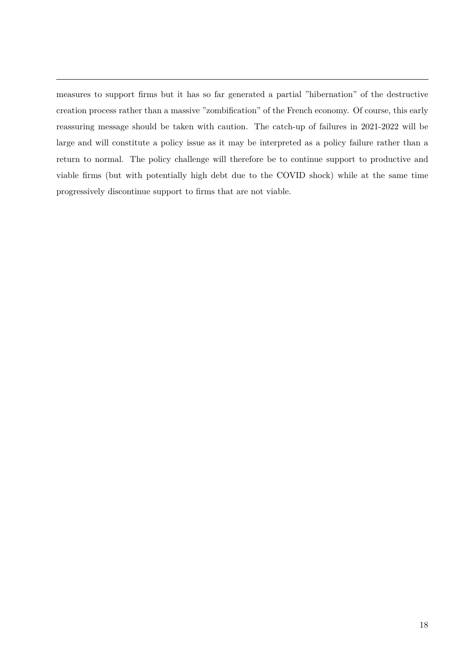measures to support firms but it has so far generated a partial "hibernation" of the destructive creation process rather than a massive "zombification" of the French economy. Of course, this early reassuring message should be taken with caution. The catch-up of failures in 2021-2022 will be large and will constitute a policy issue as it may be interpreted as a policy failure rather than a return to normal. The policy challenge will therefore be to continue support to productive and viable firms (but with potentially high debt due to the COVID shock) while at the same time progressively discontinue support to firms that are not viable.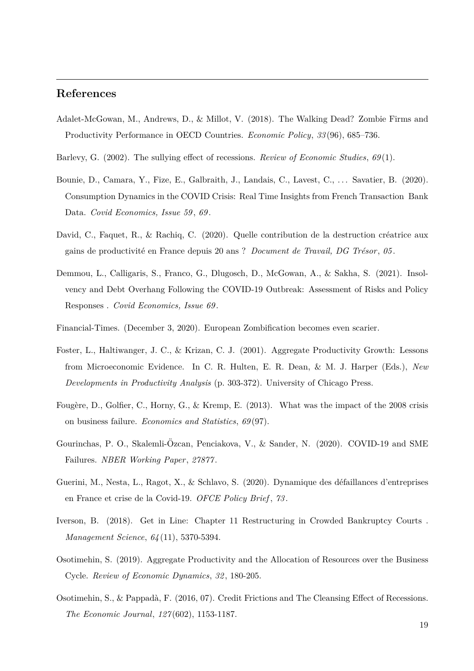### **References**

- Adalet-McGowan, M., Andrews, D., & Millot, V. (2018). The Walking Dead? Zombie Firms and Productivity Performance in OECD Countries. *Economic Policy*, *33* (96), 685–736.
- Barlevy, G. (2002). The sullying effect of recessions. *Review of Economic Studies*, *69* (1).
- Bounie, D., Camara, Y., Fize, E., Galbraith, J., Landais, C., Lavest, C., ... Savatier, B. (2020). Consumption Dynamics in the COVID Crisis: Real Time Insights from French Transaction Bank Data. *Covid Economics, Issue 59* , *69* .
- David, C., Faquet, R., & Rachiq, C. (2020). Quelle contribution de la destruction créatrice aux gains de productivité en France depuis 20 ans ? *Document de Travail, DG Trésor*, 05.
- Demmou, L., Calligaris, S., Franco, G., Dlugosch, D., McGowan, A., & Sakha, S. (2021). Insolvency and Debt Overhang Following the COVID-19 Outbreak: Assessment of Risks and Policy Responses . *Covid Economics, Issue 69* .
- Financial-Times. (December 3, 2020). European Zombification becomes even scarier.
- Foster, L., Haltiwanger, J. C., & Krizan, C. J. (2001). Aggregate Productivity Growth: Lessons from Microeconomic Evidence. In C. R. Hulten, E. R. Dean, & M. J. Harper (Eds.), *New Developments in Productivity Analysis* (p. 303-372). University of Chicago Press.
- Fougère, D., Golfier, C., Horny, G., & Kremp, E. (2013). What was the impact of the 2008 crisis on business failure. *Economics and Statistics*, *69* (97).
- Gourinchas, P. O., Skalemli-Özcan, Penciakova, V., & Sander, N. (2020). COVID-19 and SME Failures. *NBER Working Paper*, *27877* .
- Guerini, M., Nesta, L., Ragot, X., & Schlavo, S. (2020). Dynamique des d´efaillances d'entreprises en France et crise de la Covid-19. *OFCE Policy Brief* , *73* .
- Iverson, B. (2018). Get in Line: Chapter 11 Restructuring in Crowded Bankruptcy Courts . *Management Science*, *64* (11), 5370-5394.
- Osotimehin, S. (2019). Aggregate Productivity and the Allocation of Resources over the Business Cycle. *Review of Economic Dynamics*, *32* , 180-205.
- Osotimehin, S., & Pappadà, F. (2016, 07). Credit Frictions and The Cleansing Effect of Recessions. *The Economic Journal*, *127* (602), 1153-1187.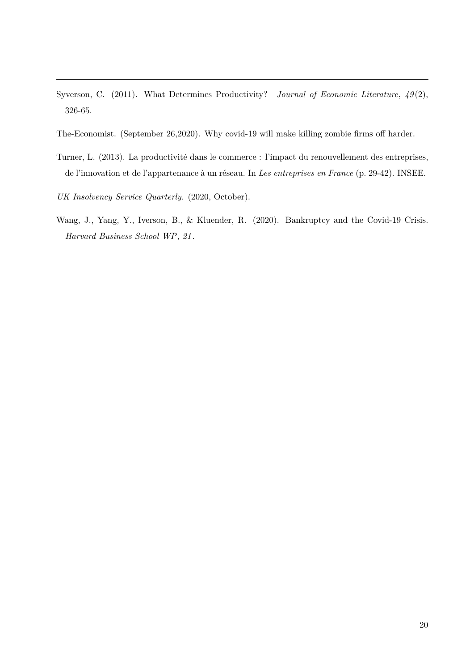- Syverson, C. (2011). What Determines Productivity? *Journal of Economic Literature*,  $49(2)$ , 326-65.
- The-Economist. (September 26,2020). Why covid-19 will make killing zombie firms off harder.
- Turner, L. (2013). La productivité dans le commerce : l'impact du renouvellement des entreprises, de l'innovation et de l'appartenance à un réseau. In *Les entreprises en France* (p. 29-42). INSEE.
- *UK Insolvency Service Quarterly.* (2020, October).
- Wang, J., Yang, Y., Iverson, B., & Kluender, R. (2020). Bankruptcy and the Covid-19 Crisis. *Harvard Business School WP*, *21* .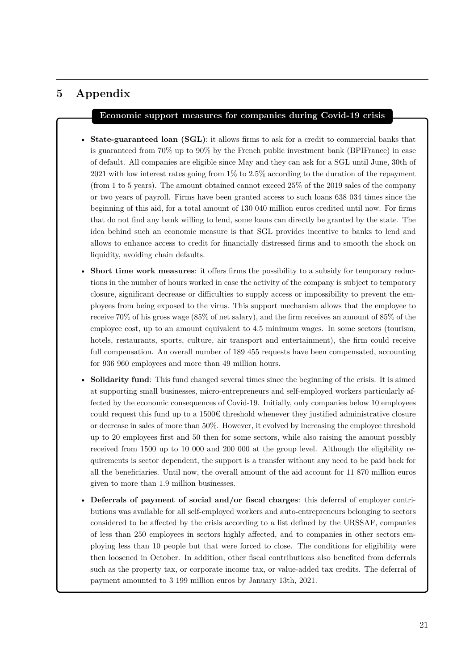# **5 Appendix**

#### **Economic support measures for companies during Covid-19 crisis**

- **State-guaranteed loan (SGL)**: it allows firms to ask for a credit to commercial banks that is guaranteed from 70% up to 90% by the French public investment bank (BPIFrance) in case of default. All companies are eligible since May and they can ask for a SGL until June, 30th of 2021 with low interest rates going from 1% to 2.5% according to the duration of the repayment (from 1 to 5 years). The amount obtained cannot exceed 25% of the 2019 sales of the company or two years of payroll. Firms have been granted access to such loans 638 034 times since the beginning of this aid, for a total amount of 130 040 million euros credited until now. For firms that do not find any bank willing to lend, some loans can directly be granted by the state. The idea behind such an economic measure is that SGL provides incentive to banks to lend and allows to enhance access to credit for financially distressed firms and to smooth the shock on liquidity, avoiding chain defaults.
- **Short time work measures**: it offers firms the possibility to a subsidy for temporary reductions in the number of hours worked in case the activity of the company is subject to temporary closure, significant decrease or difficulties to supply access or impossibility to prevent the employees from being exposed to the virus. This support mechanism allows that the employee to receive 70% of his gross wage (85% of net salary), and the firm receives an amount of 85% of the employee cost, up to an amount equivalent to 4.5 minimum wages. In some sectors (tourism, hotels, restaurants, sports, culture, air transport and entertainment), the firm could receive full compensation. An overall number of 189455 requests have been compensated, accounting for 936 960 employees and more than 49 million hours.
- **Solidarity fund**: This fund changed several times since the beginning of the crisis. It is aimed at supporting small businesses, micro-entrepreneurs and self-employed workers particularly affected by the economic consequences of Covid-19. Initially, only companies below 10 employees could request this fund up to a  $1500 \text{€ threshold whenever they justified administrative closure}$ or decrease in sales of more than 50%. However, it evolved by increasing the employee threshold up to 20 employees first and 50 then for some sectors, while also raising the amount possibly received from 1500 up to 10 000 and 200 000 at the group level. Although the eligibility requirements is sector dependent, the support is a transfer without any need to be paid back for all the beneficiaries. Until now, the overall amount of the aid account for 11 870 million euros given to more than 1.9 million businesses.
- **Deferrals of payment of social and/or fiscal charges**: this deferral of employer contributions was available for all self-employed workers and auto-entrepreneurs belonging to sectors considered to be affected by the crisis according to a list defined by the URSSAF, companies of less than 250 employees in sectors highly affected, and to companies in other sectors employing less than 10 people but that were forced to close. The conditions for eligibility were then loosened in October. In addition, other fiscal contributions also benefited from deferrals such as the property tax, or corporate income tax, or value-added tax credits. The deferral of payment amounted to 3 199 million euros by January 13th, 2021.